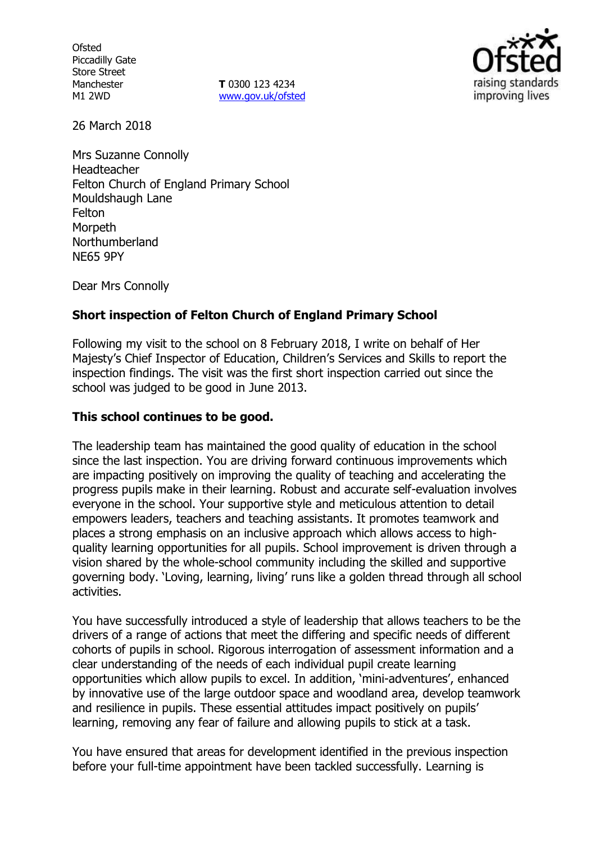**Ofsted** Piccadilly Gate Store Street Manchester M1 2WD

**T** 0300 123 4234 [www.gov.uk/ofsted](http://www.gov.uk/ofsted)



26 March 2018

Mrs Suzanne Connolly Headteacher Felton Church of England Primary School Mouldshaugh Lane Felton **Morpeth** Northumberland NE65 9PY

Dear Mrs Connolly

## **Short inspection of Felton Church of England Primary School**

Following my visit to the school on 8 February 2018, I write on behalf of Her Majesty's Chief Inspector of Education, Children's Services and Skills to report the inspection findings. The visit was the first short inspection carried out since the school was judged to be good in June 2013.

### **This school continues to be good.**

The leadership team has maintained the good quality of education in the school since the last inspection. You are driving forward continuous improvements which are impacting positively on improving the quality of teaching and accelerating the progress pupils make in their learning. Robust and accurate self-evaluation involves everyone in the school. Your supportive style and meticulous attention to detail empowers leaders, teachers and teaching assistants. It promotes teamwork and places a strong emphasis on an inclusive approach which allows access to highquality learning opportunities for all pupils. School improvement is driven through a vision shared by the whole-school community including the skilled and supportive governing body. 'Loving, learning, living' runs like a golden thread through all school activities.

You have successfully introduced a style of leadership that allows teachers to be the drivers of a range of actions that meet the differing and specific needs of different cohorts of pupils in school. Rigorous interrogation of assessment information and a clear understanding of the needs of each individual pupil create learning opportunities which allow pupils to excel. In addition, 'mini-adventures', enhanced by innovative use of the large outdoor space and woodland area, develop teamwork and resilience in pupils. These essential attitudes impact positively on pupils' learning, removing any fear of failure and allowing pupils to stick at a task.

You have ensured that areas for development identified in the previous inspection before your full-time appointment have been tackled successfully. Learning is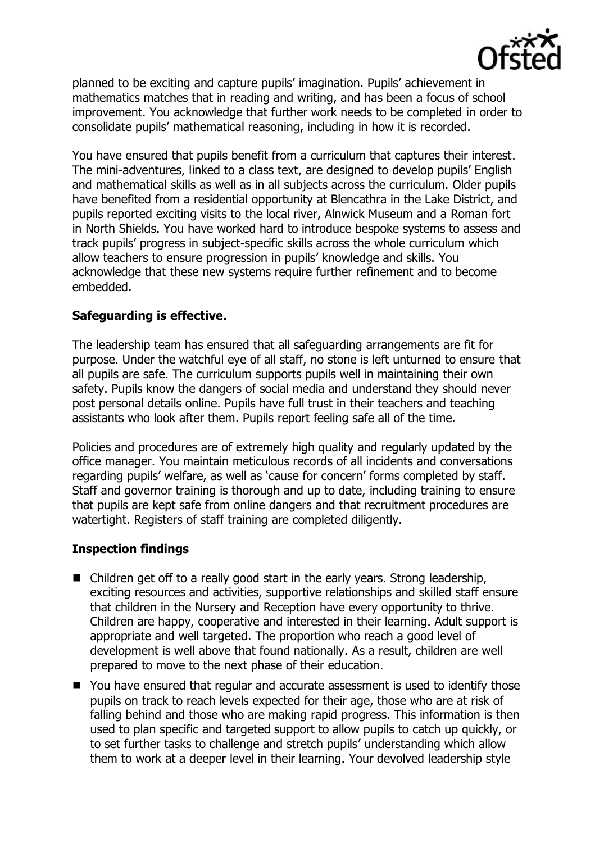

planned to be exciting and capture pupils' imagination. Pupils' achievement in mathematics matches that in reading and writing, and has been a focus of school improvement. You acknowledge that further work needs to be completed in order to consolidate pupils' mathematical reasoning, including in how it is recorded.

You have ensured that pupils benefit from a curriculum that captures their interest. The mini-adventures, linked to a class text, are designed to develop pupils' English and mathematical skills as well as in all subjects across the curriculum. Older pupils have benefited from a residential opportunity at Blencathra in the Lake District, and pupils reported exciting visits to the local river, Alnwick Museum and a Roman fort in North Shields. You have worked hard to introduce bespoke systems to assess and track pupils' progress in subject-specific skills across the whole curriculum which allow teachers to ensure progression in pupils' knowledge and skills. You acknowledge that these new systems require further refinement and to become embedded.

# **Safeguarding is effective.**

The leadership team has ensured that all safeguarding arrangements are fit for purpose. Under the watchful eye of all staff, no stone is left unturned to ensure that all pupils are safe. The curriculum supports pupils well in maintaining their own safety. Pupils know the dangers of social media and understand they should never post personal details online. Pupils have full trust in their teachers and teaching assistants who look after them. Pupils report feeling safe all of the time.

Policies and procedures are of extremely high quality and regularly updated by the office manager. You maintain meticulous records of all incidents and conversations regarding pupils' welfare, as well as 'cause for concern' forms completed by staff. Staff and governor training is thorough and up to date, including training to ensure that pupils are kept safe from online dangers and that recruitment procedures are watertight. Registers of staff training are completed diligently.

# **Inspection findings**

- Children get off to a really good start in the early years. Strong leadership, exciting resources and activities, supportive relationships and skilled staff ensure that children in the Nursery and Reception have every opportunity to thrive. Children are happy, cooperative and interested in their learning. Adult support is appropriate and well targeted. The proportion who reach a good level of development is well above that found nationally. As a result, children are well prepared to move to the next phase of their education.
- You have ensured that regular and accurate assessment is used to identify those pupils on track to reach levels expected for their age, those who are at risk of falling behind and those who are making rapid progress. This information is then used to plan specific and targeted support to allow pupils to catch up quickly, or to set further tasks to challenge and stretch pupils' understanding which allow them to work at a deeper level in their learning. Your devolved leadership style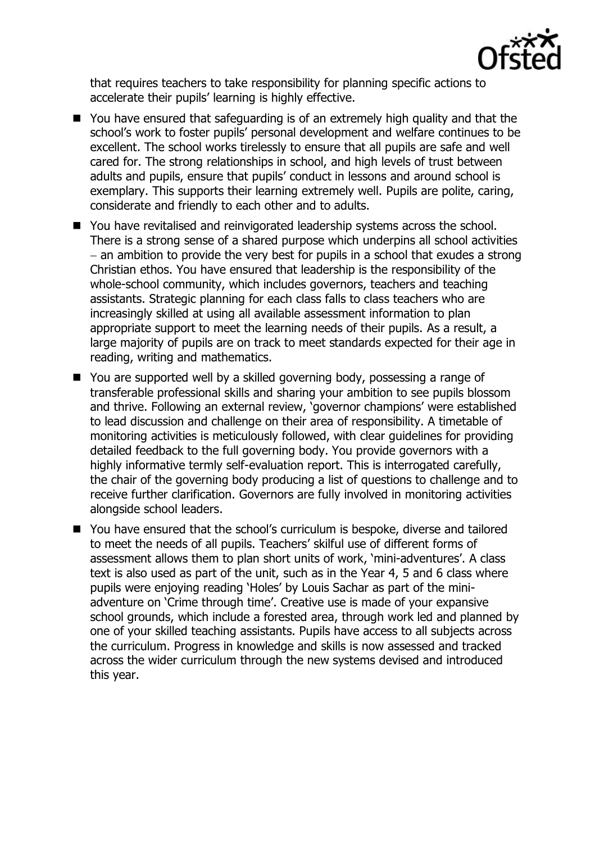

that requires teachers to take responsibility for planning specific actions to accelerate their pupils' learning is highly effective.

- You have ensured that safeguarding is of an extremely high quality and that the school's work to foster pupils' personal development and welfare continues to be excellent. The school works tirelessly to ensure that all pupils are safe and well cared for. The strong relationships in school, and high levels of trust between adults and pupils, ensure that pupils' conduct in lessons and around school is exemplary. This supports their learning extremely well. Pupils are polite, caring, considerate and friendly to each other and to adults.
- You have revitalised and reinvigorated leadership systems across the school. There is a strong sense of a shared purpose which underpins all school activities  $-$  an ambition to provide the very best for pupils in a school that exudes a strong Christian ethos. You have ensured that leadership is the responsibility of the whole-school community, which includes governors, teachers and teaching assistants. Strategic planning for each class falls to class teachers who are increasingly skilled at using all available assessment information to plan appropriate support to meet the learning needs of their pupils. As a result, a large majority of pupils are on track to meet standards expected for their age in reading, writing and mathematics.
- You are supported well by a skilled governing body, possessing a range of transferable professional skills and sharing your ambition to see pupils blossom and thrive. Following an external review, 'governor champions' were established to lead discussion and challenge on their area of responsibility. A timetable of monitoring activities is meticulously followed, with clear guidelines for providing detailed feedback to the full governing body. You provide governors with a highly informative termly self-evaluation report. This is interrogated carefully, the chair of the governing body producing a list of questions to challenge and to receive further clarification. Governors are fully involved in monitoring activities alongside school leaders.
- You have ensured that the school's curriculum is bespoke, diverse and tailored to meet the needs of all pupils. Teachers' skilful use of different forms of assessment allows them to plan short units of work, 'mini-adventures'. A class text is also used as part of the unit, such as in the Year 4, 5 and 6 class where pupils were enjoying reading 'Holes' by Louis Sachar as part of the miniadventure on 'Crime through time'. Creative use is made of your expansive school grounds, which include a forested area, through work led and planned by one of your skilled teaching assistants. Pupils have access to all subjects across the curriculum. Progress in knowledge and skills is now assessed and tracked across the wider curriculum through the new systems devised and introduced this year.